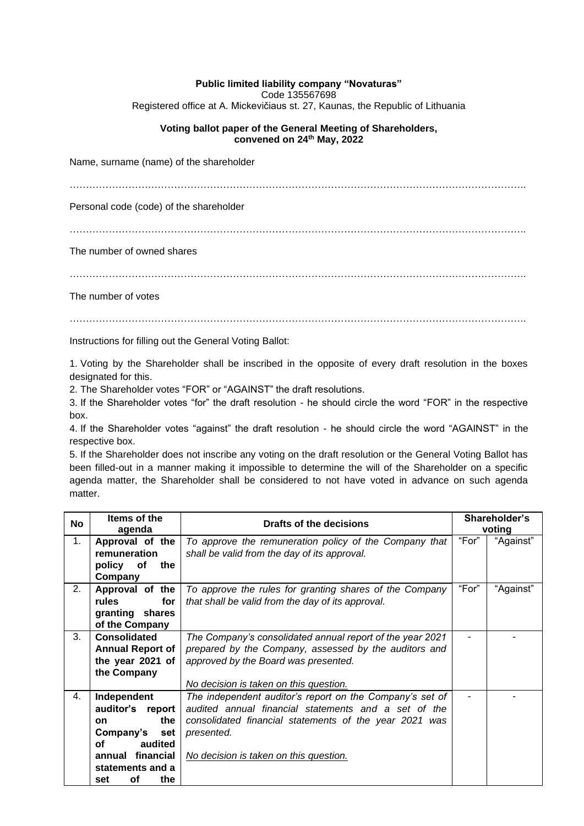## **Public limited liability company "Novaturas"**

Code 135567698

Registered office at A. Mickevičiaus st. 27, Kaunas, the Republic of Lithuania

## **Voting ballot paper of the General Meeting of Shareholders, convened on 24th May, 2022**

Name, surname (name) of the shareholder

Personal code (code) of the shareholder

…………………………………………………………………………………………………………………………..

The number of owned shares

…………………………………………………………………………………………………………………………..

The number of votes

…………………………………………………………………………………………………………………………..

Instructions for filling out the General Voting Ballot:

1. Voting by the Shareholder shall be inscribed in the opposite of every draft resolution in the boxes designated for this.

2. The Shareholder votes "FOR" or "AGAINST" the draft resolutions.

3. If the Shareholder votes "for" the draft resolution - he should circle the word "FOR" in the respective box.

4. If the Shareholder votes "against" the draft resolution - he should circle the word "AGAINST" in the respective box.

5. If the Shareholder does not inscribe any voting on the draft resolution or the General Voting Ballot has been filled-out in a manner making it impossible to determine the will of the Shareholder on a specific agenda matter, the Shareholder shall be considered to not have voted in advance on such agenda matter.

| <b>No</b> | Items of the<br>agenda  | Drafts of the decisions                                   | Shareholder's<br>voting |           |
|-----------|-------------------------|-----------------------------------------------------------|-------------------------|-----------|
| 1.        | Approval of the         | To approve the remuneration policy of the Company that    | "For"                   | "Against" |
|           | remuneration            | shall be valid from the day of its approval.              |                         |           |
|           | the<br>policy<br>оf     |                                                           |                         |           |
|           | Company                 |                                                           |                         |           |
| 2.        | Approval of the         | To approve the rules for granting shares of the Company   | "For"                   | "Against" |
|           | rules<br>for            | that shall be valid from the day of its approval.         |                         |           |
|           | granting shares         |                                                           |                         |           |
|           | of the Company          |                                                           |                         |           |
| 3.        | <b>Consolidated</b>     | The Company's consolidated annual report of the year 2021 |                         |           |
|           | <b>Annual Report of</b> | prepared by the Company, assessed by the auditors and     |                         |           |
|           | the year 2021 of        | approved by the Board was presented.                      |                         |           |
|           | the Company             |                                                           |                         |           |
|           |                         | No decision is taken on this question.                    |                         |           |
| 4.        | Independent             | The independent auditor's report on the Company's set of  |                         |           |
|           | auditor's report        | audited annual financial statements and a set of the      |                         |           |
|           | the<br><b>on</b>        | consolidated financial statements of the year 2021 was    |                         |           |
|           | Company's<br>set        | presented.                                                |                         |           |
|           | оf<br>audited           |                                                           |                         |           |
|           | annual financial        | No decision is taken on this question.                    |                         |           |
|           | statements and a        |                                                           |                         |           |
|           | <b>of</b><br>the<br>set |                                                           |                         |           |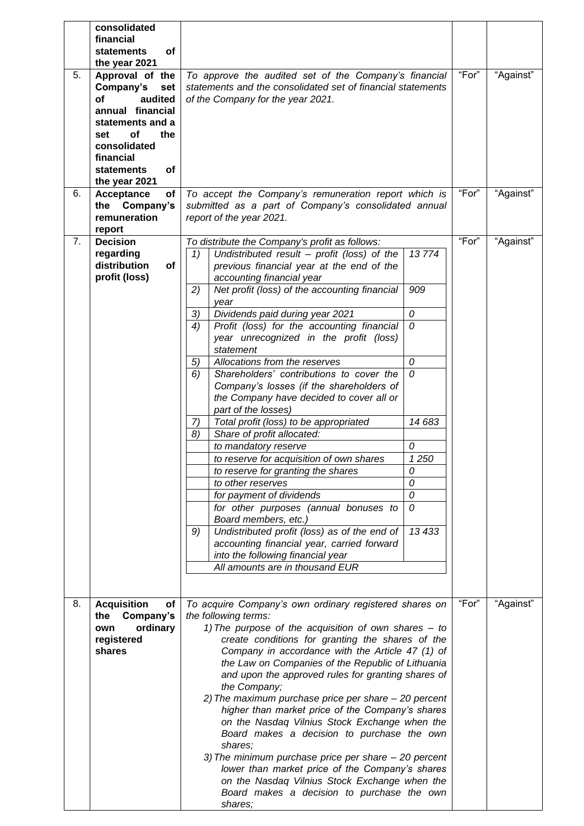|    | consolidated<br>financial<br>of<br><b>statements</b><br>the year 2021                                                                                                                     |                                                                                                                                                                                                                                                                                                                                                                                                                                                                                                                                                                                                                                                                                                                                                                                                                                                                                                                                                                                                                                                                                                                                                                                                 |       |           |
|----|-------------------------------------------------------------------------------------------------------------------------------------------------------------------------------------------|-------------------------------------------------------------------------------------------------------------------------------------------------------------------------------------------------------------------------------------------------------------------------------------------------------------------------------------------------------------------------------------------------------------------------------------------------------------------------------------------------------------------------------------------------------------------------------------------------------------------------------------------------------------------------------------------------------------------------------------------------------------------------------------------------------------------------------------------------------------------------------------------------------------------------------------------------------------------------------------------------------------------------------------------------------------------------------------------------------------------------------------------------------------------------------------------------|-------|-----------|
| 5. | Approval of the<br>Company's<br>set<br>audited<br>of<br>annual financial<br>statements and a<br>of<br>the<br>set<br>consolidated<br>financial<br>of<br><b>statements</b><br>the year 2021 | To approve the audited set of the Company's financial<br>statements and the consolidated set of financial statements<br>of the Company for the year 2021.                                                                                                                                                                                                                                                                                                                                                                                                                                                                                                                                                                                                                                                                                                                                                                                                                                                                                                                                                                                                                                       | "For" | "Against" |
| 6. | Acceptance<br>of<br>Company's<br>the<br>remuneration<br>report                                                                                                                            | To accept the Company's remuneration report which is<br>submitted as a part of Company's consolidated annual<br>report of the year 2021.                                                                                                                                                                                                                                                                                                                                                                                                                                                                                                                                                                                                                                                                                                                                                                                                                                                                                                                                                                                                                                                        | "For" | "Against" |
| 7. | <b>Decision</b><br>regarding<br>distribution<br>of<br>profit (loss)                                                                                                                       | To distribute the Company's profit as follows:<br>Undistributed result $-$ profit (loss) of the<br>13774<br>1)<br>previous financial year at the end of the<br>accounting financial year<br>Net profit (loss) of the accounting financial<br>909<br>2)<br>year<br>Dividends paid during year 2021<br>0<br>3)<br>Profit (loss) for the accounting financial<br>0<br>4)<br>year unrecognized in the profit (loss)<br>statement<br>0<br>Allocations from the reserves<br>5)<br>0<br>Shareholders' contributions to cover the<br>6)<br>Company's losses (if the shareholders of<br>the Company have decided to cover all or<br>part of the losses)<br>Total profit (loss) to be appropriated<br>14 683<br>7)<br>Share of profit allocated:<br>8)<br>0<br>to mandatory reserve<br>1250<br>to reserve for acquisition of own shares<br>0<br>to reserve for granting the shares<br>0<br>to other reserves<br>0<br>for payment of dividends<br>0<br>for other purposes (annual bonuses to<br>Board members, etc.)<br>13 433<br>Undistributed profit (loss) as of the end of<br>9)<br>accounting financial year, carried forward<br>into the following financial year<br>All amounts are in thousand EUR | "For" | "Against" |
| 8. | <b>Acquisition</b><br>Οf<br>Company's<br>the<br>ordinary<br>own<br>registered<br>shares                                                                                                   | To acquire Company's own ordinary registered shares on<br>the following terms:<br>1) The purpose of the acquisition of own shares $-$ to<br>create conditions for granting the shares of the<br>Company in accordance with the Article 47 (1) of<br>the Law on Companies of the Republic of Lithuania<br>and upon the approved rules for granting shares of<br>the Company;<br>2) The maximum purchase price per share - 20 percent<br>higher than market price of the Company's shares<br>on the Nasdaq Vilnius Stock Exchange when the<br>Board makes a decision to purchase the own<br>shares;<br>3) The minimum purchase price per share - 20 percent<br>lower than market price of the Company's shares<br>on the Nasdag Vilnius Stock Exchange when the<br>Board makes a decision to purchase the own<br>shares;                                                                                                                                                                                                                                                                                                                                                                          | "For" | "Against" |